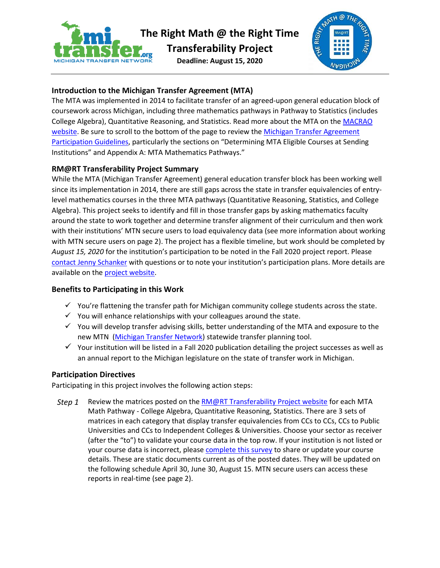

**The Right Math @ the Right Time**

**Transferability Project**

**Deadline: August 15, 2020** 



# **Introduction to the Michigan Transfer Agreement (MTA)**

The MTA was implemented in 2014 to facilitate transfer of an agreed-upon general education block of coursework across Michigan, including three mathematics pathways in Pathway to Statistics (includes College Algebra), Quantitative Reasoning, and Statistics. Read more about the MTA on the [MACRAO](https://www.macrao.org/michigan-transfer-agreement)  [website.](https://www.macrao.org/michigan-transfer-agreement) Be sure to scroll to the bottom of the page to review the [Michigan Transfer](https://www.macrao.org/assets/docs/MTA_Guidelines_Fall_2019_FINAL-edits_02_2020.pdf) Agreement [Participation Guidelines,](https://www.macrao.org/assets/docs/MTA_Guidelines_Fall_2019_FINAL-edits_02_2020.pdf) particularly the sections on "Determining MTA Eligible Courses at Sending Institutions" and Appendix A: MTA Mathematics Pathways."

## **RM@RT Transferability Project Summary**

While the MTA (Michigan Transfer Agreement) general education transfer block has been working well since its implementation in 2014, there are still gaps across the state in transfer equivalencies of entrylevel mathematics courses in the three MTA pathways (Quantitative Reasoning, Statistics, and College Algebra). This project seeks to identify and fill in those transfer gaps by asking mathematics faculty around the state to work together and determine transfer alignment of their curriculum and then work with their institutions' MTN secure users to load equivalency data (see more information about working with MTN secure users on page 2). The project has a flexible timeline, but work should be completed by *August 15, 2020* for the institution's participation to be noted in the Fall 2020 project report. Please [contact Jenny Schanker](mailto:jschanker@mcca.org) with questions or to note your institution's participation plans. More details are available on th[e project website.](https://www.mirightmath.org/transfer-resources)

## **Benefits to Participating in this Work**

- $\checkmark$  You're flattening the transfer path for Michigan community college students across the state.
- $\checkmark$  You will enhance relationships with your colleagues around the state.
- $\checkmark$  You will develop transfer advising skills, better understanding of the MTA and exposure to the new MTN [\(Michigan Transfer Network\)](https://www.mitransfer.org/) statewide transfer planning tool.
- $\checkmark$  Your institution will be listed in a Fall 2020 publication detailing the project successes as well as an annual report to the Michigan legislature on the state of transfer work in Michigan.

## **Participation Directives**

Participating in this project involves the following action steps:

*Step 1* Review the matrices posted on the **RM@RT Transferability Project website** for each MTA Math Pathway - College Algebra, Quantitative Reasoning, Statistics. There are 3 sets of matrices in each category that display transfer equivalencies from CCs to CCs, CCs to Public Universities and CCs to Independent Colleges & Universities. Choose your sector as receiver (after the "to") to validate your course data in the top row. If your institution is not listed or your course data is incorrect, please [complete this survey](https://www.surveymonkey.com/r/MICUmath) to share or update your course details. These are static documents current as of the posted dates. They will be updated on the following schedule April 30, June 30, August 15. MTN secure users can access these reports in real-time (see page 2).